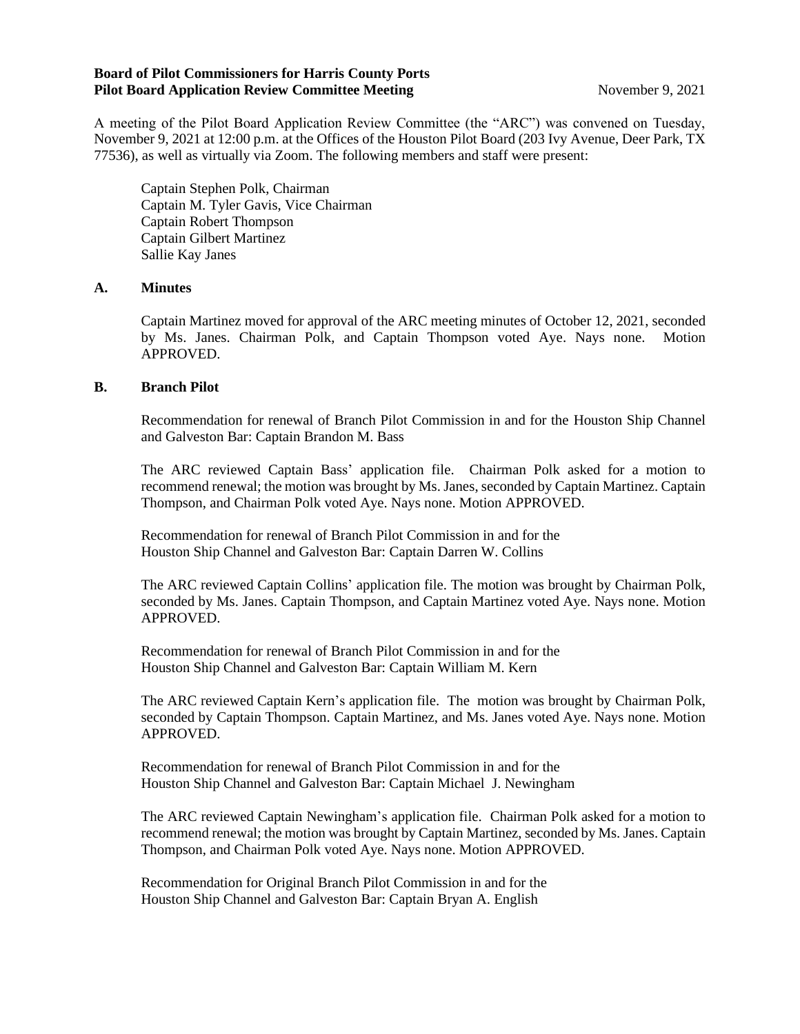## **Board of Pilot Commissioners for Harris County Ports Pilot Board Application Review Committee Meeting November 9, 2021**

A meeting of the Pilot Board Application Review Committee (the "ARC") was convened on Tuesday, November 9, 2021 at 12:00 p.m. at the Offices of the Houston Pilot Board (203 Ivy Avenue, Deer Park, TX 77536), as well as virtually via Zoom. The following members and staff were present:

Captain Stephen Polk, Chairman Captain M. Tyler Gavis, Vice Chairman Captain Robert Thompson Captain Gilbert Martinez Sallie Kay Janes

# **A. Minutes**

Captain Martinez moved for approval of the ARC meeting minutes of October 12, 2021, seconded by Ms. Janes. Chairman Polk, and Captain Thompson voted Aye. Nays none. Motion APPROVED.

## **B. Branch Pilot**

Recommendation for renewal of Branch Pilot Commission in and for the Houston Ship Channel and Galveston Bar: Captain Brandon M. Bass

The ARC reviewed Captain Bass' application file. Chairman Polk asked for a motion to recommend renewal; the motion was brought by Ms. Janes, seconded by Captain Martinez. Captain Thompson, and Chairman Polk voted Aye. Nays none. Motion APPROVED.

Recommendation for renewal of Branch Pilot Commission in and for the Houston Ship Channel and Galveston Bar: Captain Darren W. Collins

The ARC reviewed Captain Collins' application file. The motion was brought by Chairman Polk, seconded by Ms. Janes. Captain Thompson, and Captain Martinez voted Aye. Nays none. Motion APPROVED.

Recommendation for renewal of Branch Pilot Commission in and for the Houston Ship Channel and Galveston Bar: Captain William M. Kern

The ARC reviewed Captain Kern's application file. The motion was brought by Chairman Polk, seconded by Captain Thompson. Captain Martinez, and Ms. Janes voted Aye. Nays none. Motion APPROVED.

Recommendation for renewal of Branch Pilot Commission in and for the Houston Ship Channel and Galveston Bar: Captain Michael J. Newingham

The ARC reviewed Captain Newingham's application file. Chairman Polk asked for a motion to recommend renewal; the motion was brought by Captain Martinez, seconded by Ms. Janes. Captain Thompson, and Chairman Polk voted Aye. Nays none. Motion APPROVED.

Recommendation for Original Branch Pilot Commission in and for the Houston Ship Channel and Galveston Bar: Captain Bryan A. English